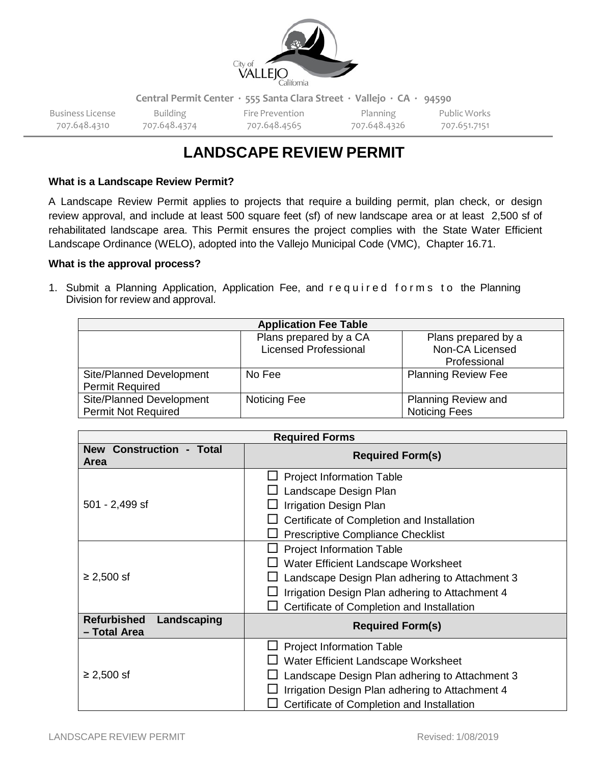

Business License Building Fire Prevention Planning Public Works 707.648.4310 707.648.4374 707.648.4565 707.648.4326 707.651.7151

# **LANDSCAPE REVIEW PERMIT**

# **What is a Landscape Review Permit?**

A Landscape Review Permit applies to projects that require a building permit, plan check, or design review approval, and include at least 500 square feet (sf) of new landscape area or at least 2,500 sf of rehabilitated landscape area. This Permit ensures the project complies with the State Water Efficient Landscape Ordinance (WELO), adopted into the Vallejo Municipal Code (VMC), Chapter 16.71.

### **What is the approval process?**

1. Submit a Planning Application, Application Fee, and required forms to the Planning Division for review and approval.

|                            | <b>Application Fee Table</b>                           |                                        |
|----------------------------|--------------------------------------------------------|----------------------------------------|
|                            | Plans prepared by a CA<br><b>Licensed Professional</b> | Plans prepared by a<br>Non-CA Licensed |
|                            |                                                        | Professional                           |
| Site/Planned Development   | No Fee                                                 | <b>Planning Review Fee</b>             |
| <b>Permit Required</b>     |                                                        |                                        |
| Site/Planned Development   | Noticing Fee                                           | Planning Review and                    |
| <b>Permit Not Required</b> |                                                        | <b>Noticing Fees</b>                   |

|                                                   | <b>Required Forms</b>                                                                                                                                                                                                                                                  |
|---------------------------------------------------|------------------------------------------------------------------------------------------------------------------------------------------------------------------------------------------------------------------------------------------------------------------------|
| <b>New Construction - Total</b><br><b>Area</b>    | <b>Required Form(s)</b>                                                                                                                                                                                                                                                |
| 501 - 2,499 sf                                    | <b>Project Information Table</b><br>Landscape Design Plan<br>Irrigation Design Plan<br>Certificate of Completion and Installation                                                                                                                                      |
| $≥ 2,500$ sf                                      | <b>Prescriptive Compliance Checklist</b><br><b>Project Information Table</b><br>Water Efficient Landscape Worksheet<br>Landscape Design Plan adhering to Attachment 3<br>Irrigation Design Plan adhering to Attachment 4<br>Certificate of Completion and Installation |
| <b>Refurbished</b><br>Landscaping<br>- Total Area | <b>Required Form(s)</b>                                                                                                                                                                                                                                                |
| $≥ 2,500$ sf                                      | <b>Project Information Table</b><br>Water Efficient Landscape Worksheet<br>Landscape Design Plan adhering to Attachment 3<br>Irrigation Design Plan adhering to Attachment 4<br>Certificate of Completion and Installation                                             |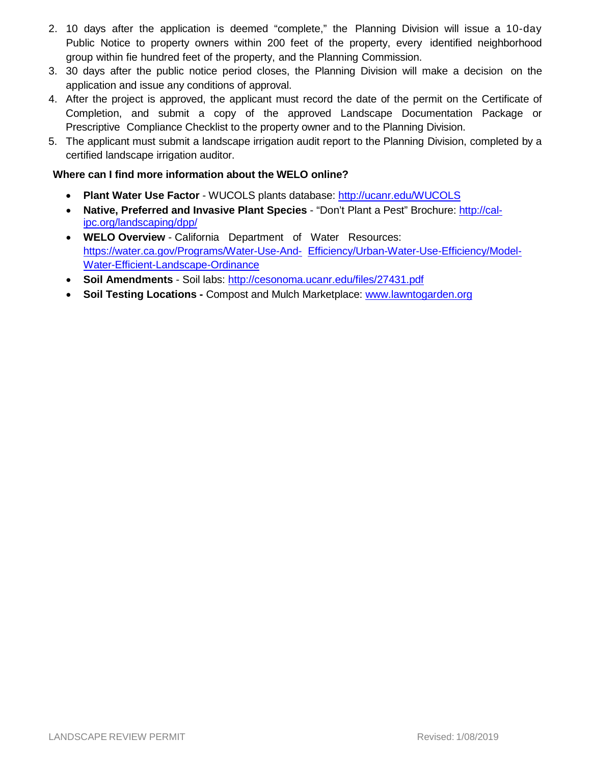- 2. 10 days after the application is deemed "complete," the Planning Division will issue a 10-day Public Notice to property owners within 200 feet of the property, every identified neighborhood group within fie hundred feet of the property, and the Planning Commission.
- 3. 30 days after the public notice period closes, the Planning Division will make a decision on the application and issue any conditions of approval.
- 4. After the project is approved, the applicant must record the date of the permit on the Certificate of Completion, and submit a copy of the approved Landscape Documentation Package or Prescriptive Compliance Checklist to the property owner and to the Planning Division.
- 5. The applicant must submit a landscape irrigation audit report to the Planning Division, completed by a certified landscape irrigation auditor.

# **Where can I find more information about the WELO online?**

- **Plant Water Use Factor** WUCOLS plants database: <http://ucanr.edu/WUCOLS>
- **Native, Preferred and Invasive Plant Species** "Don't Plant a Pest" Brochure: [http://cal](http://cal-ipc.org/landscaping/dpp/)[ipc.org/landscaping/dpp/](http://cal-ipc.org/landscaping/dpp/)
- **WELO Overview** California Department of Water Resources: [https://water.ca.gov/Programs/Water-Use-And-](https://water.ca.gov/Programs/Water-Use-And-Efficiency/Urban-Water-Use-Efficiency/Model-Water-Efficient-Landscape-Ordinance) [Efficiency/Urban-Water-Use-Efficiency/Model-](https://water.ca.gov/Programs/Water-Use-And-Efficiency/Urban-Water-Use-Efficiency/Model-Water-Efficient-Landscape-Ordinance)[Water-Efficient-Landscape-Ordinance](https://water.ca.gov/Programs/Water-Use-And-Efficiency/Urban-Water-Use-Efficiency/Model-Water-Efficient-Landscape-Ordinance)
- **Soil Amendments** Soil labs: <http://cesonoma.ucanr.edu/files/27431.pdf>
- **Soil Testing Locations -** Compost and Mulch Marketplace: [www.lawntogarden.org](http://www.lawntogarden.org/)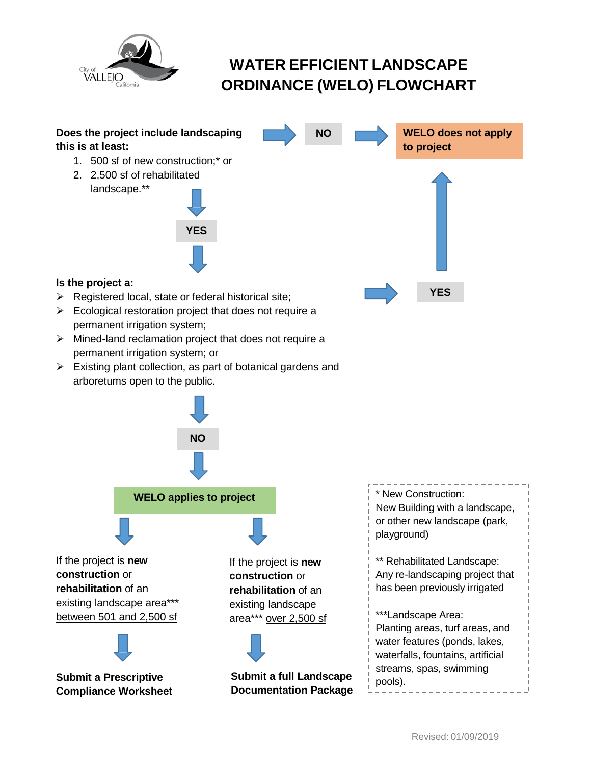

# **WATER EFFICIENT LANDSCAPE ORDINANCE (WELO) FLOWCHART**

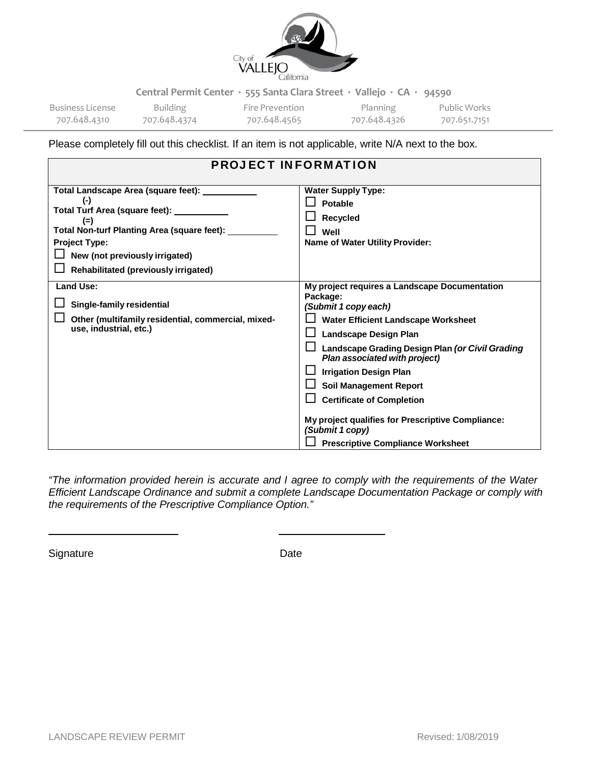

707.648.4310 707.648.4374 707.648.4565 707.648.4326 707.651.7151

Business License Building Fire Prevention Planning Public Works

Please completely fill out this checklist. If an item is not applicable, write N/A next to the box.

| <b>PROJECT INFORMATION</b>                                                                                                                                                                                             |                                                                                                                                                                                                                                                                                                                                                                                                                                                                        |
|------------------------------------------------------------------------------------------------------------------------------------------------------------------------------------------------------------------------|------------------------------------------------------------------------------------------------------------------------------------------------------------------------------------------------------------------------------------------------------------------------------------------------------------------------------------------------------------------------------------------------------------------------------------------------------------------------|
| Total Landscape Area (square feet): ________<br>$(-)$<br>$(=)$<br>Total Non-turf Planting Area (square feet):<br><b>Project Type:</b><br>New (not previously irrigated)<br><b>Rehabilitated (previously irrigated)</b> | <b>Water Supply Type:</b><br><b>Potable</b><br>Recycled<br>Well<br><b>Name of Water Utility Provider:</b>                                                                                                                                                                                                                                                                                                                                                              |
| Land Use:<br>Single-family residential<br>Other (multifamily residential, commercial, mixed-<br>use, industrial, etc.)                                                                                                 | My project requires a Landscape Documentation<br>Package:<br>(Submit 1 copy each)<br>Water Efficient Landscape Worksheet<br><b>Landscape Design Plan</b><br>Landscape Grading Design Plan (or Civil Grading<br>Plan associated with project)<br><b>Irrigation Design Plan</b><br><b>Soil Management Report</b><br><b>Certificate of Completion</b><br>My project qualifies for Prescriptive Compliance:<br>(Submit 1 copy)<br><b>Prescriptive Compliance Worksheet</b> |

*"The information provided herein is accurate and I agree to comply with the requirements of the Water Efficient Landscape Ordinance and submit a complete Landscape Documentation Package or comply with the requirements of the Prescriptive Compliance Option."*

Signature Date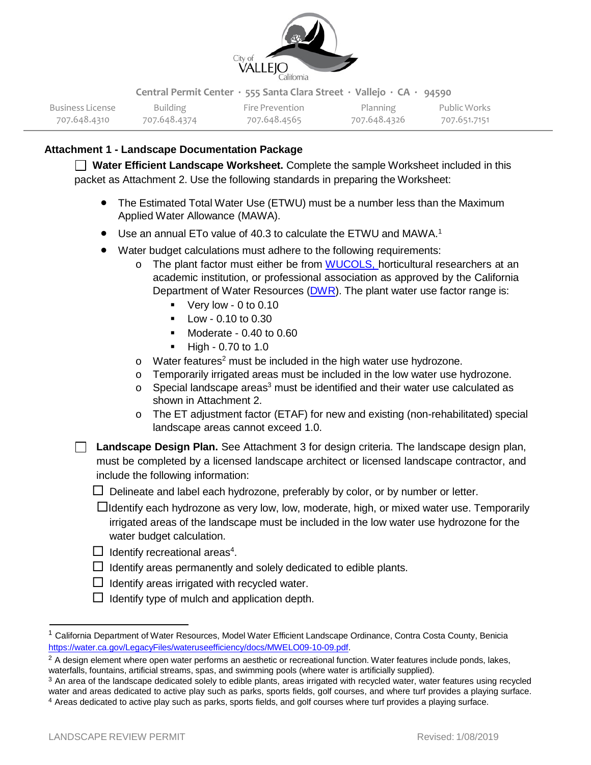

707.648.4310 707.648.4374 707.648.4565 707.648.4326 707.651.7151

Business License Building Fire Prevention Planning Public Works

# **Attachment 1 - Landscape Documentation Package**

**Water Efficient Landscape Worksheet.** Complete the sample Worksheet included in this packet as Attachment 2. Use the following standards in preparing the Worksheet:

- The Estimated Total Water Use (ETWU) must be a number less than the Maximum Applied Water Allowance (MAWA).
- Use an annual ETo value of 40.3 to calculate the ETWU and MAWA.<sup>1</sup>
- Water budget calculations must adhere to the following requirements:
	- o The plant factor must either be from [WUCOLS,](https://ucanr.edu/sites/WUCOLS/) horticultural researchers at an academic institution, or professional association as approved by the California Department of Water Resources [\(DWR\)](http://water.ca.gov/wateruseefficiency/docs/2015/BSCWaterBudget105.xls). The plant water use factor range is:
		- Very low 0 to 0.10
		- $\blacksquare$  Low 0.10 to 0.30
		- $\blacksquare$  Moderate 0.40 to 0.60
		- $-High 0.70$  to 1.0
	- $\circ$  Water features<sup>2</sup> must be included in the high water use hydrozone.
	- o Temporarily irrigated areas must be included in the low water use hydrozone.
	- $\circ$  Special landscape areas<sup>3</sup> must be identified and their water use calculated as shown in Attachment 2.
	- o The ET adjustment factor (ETAF) for new and existing (non-rehabilitated) special landscape areas cannot exceed 1.0.

**Landscape Design Plan.** See Attachment 3 for design criteria. The landscape design plan, must be completed by a licensed landscape architect or licensed landscape contractor, and include the following information:

 $\Box$  Delineate and label each hydrozone, preferably by color, or by number or letter.

 $\Box$ Identify each hydrozone as very low, low, moderate, high, or mixed water use. Temporarily irrigated areas of the landscape must be included in the low water use hydrozone for the water budget calculation.

- $\Box$  Identify recreational areas<sup>4</sup>.
- $\Box$  Identify areas permanently and solely dedicated to edible plants.
- $\Box$  Identify areas irrigated with recycled water.
- <span id="page-4-3"></span> $\Box$  Identify type of mulch and application depth.

<span id="page-4-0"></span> $^1$  California Department of Water Resources, Model Water Efficient Landscape Ordinance, Contra Costa County, Benicia [https://water.ca.gov/LegacyFiles/wateruseefficiency/docs/MWELO09-10-09.pdf.](https://water.ca.gov/LegacyFiles/wateruseefficiency/docs/MWELO09-10-09.pdf)

<span id="page-4-1"></span> $<sup>2</sup>$  A design element where open water performs an aesthetic or recreational function. Water features include ponds, lakes,</sup> waterfalls, fountains, artificial streams, spas, and swimming pools (where water is artificially supplied).

<span id="page-4-2"></span> $3$  An area of the landscape dedicated solely to edible plants, areas irrigated with recycled water, water features using recycled water and areas dedicated to active play such as parks, sports fields, golf courses, and w 4 Areas dedicated to active play such as parks, sports fields, and golf courses where turf provides a playing surface.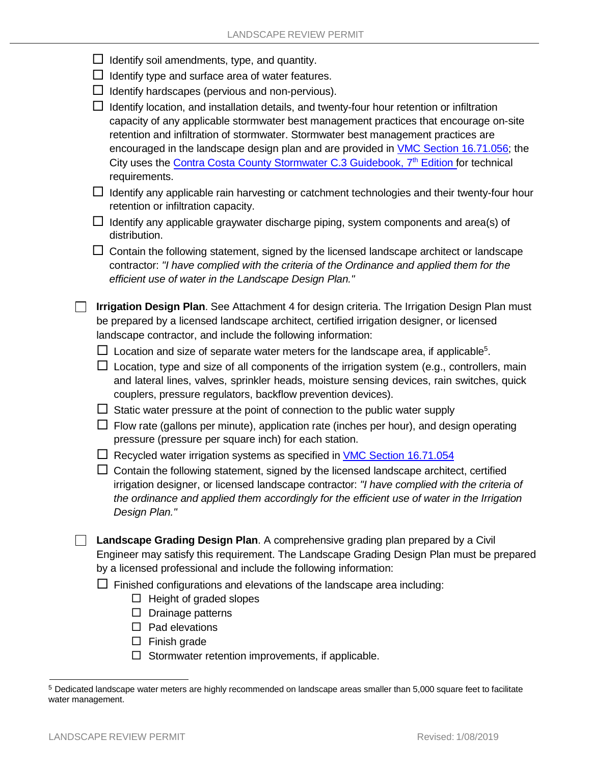|  |  |  |  | $\Box$ Identify soil amendments, type, and quantity. |
|--|--|--|--|------------------------------------------------------|
|--|--|--|--|------------------------------------------------------|

- $\Box$  Identify type and surface area of water features.
- $\Box$  Identify hardscapes (pervious and non-pervious).

 $\Box$  Identify location, and installation details, and twenty-four hour retention or infiltration capacity of any applicable stormwater best management practices that encourage on-site retention and infiltration of stormwater. Stormwater best management practices are encouraged in the landscape design plan and are provided in VMC Section [16.71.056;](https://library.municode.com/ca/vallejo/codes/code_of_ordinances?nodeId=TIT16ZO_PTIVGERE_CH16.71WAEFLARE_16.71.056STMARARE) the City uses the Contra Costa County Stormwater C.3 [Guidebook,](https://www.cccleanwater.org/construction-business/development/stormwater-c-3-guidebook) 7<sup>th</sup> Edition for technical requirements.

 $\Box$  Identify any applicable rain harvesting or catchment technologies and their twenty-four hour retention or infiltration capacity.

 $\Box$  Identify any applicable graywater discharge piping, system components and area(s) of distribution.

 $\Box$  Contain the following statement, signed by the licensed landscape architect or landscape contractor: *"I have complied with the criteria of the Ordinance and applied them for the efficient use of water in the Landscape Design Plan."*

**Irrigation Design Plan**. See Attachment 4 for design criteria. The Irrigation Design Plan must be prepared by a licensed landscape architect, certified irrigation designer, or licensed landscape contractor, and include the following information:

 $\Box$  Location and size of separate water meters for the landscape area, if applicable<sup>5</sup>.

 $\Box$  Location, type and size of all components of the irrigation system (e.g., controllers, main and lateral lines, valves, sprinkler heads, moisture sensing devices, rain switches, quick couplers, pressure regulators, backflow prevention devices).

 $\Box$  Static water pressure at the point of connection to the public water supply

 $\Box$  Flow rate (gallons per minute), application rate (inches per hour), and design operating pressure (pressure per square inch) for each station.

 $\Box$  Recycled water irrigation systems as specified in VMC Section [16.71.054](https://library.municode.com/ca/vallejo/codes/code_of_ordinances?nodeId=TIT16ZO_PTIVGERE_CH16.71WAEFLARE_16.71.054REWA)

 $\Box$  Contain the following statement, signed by the licensed landscape architect, certified irrigation designer, or licensed landscape contractor: *"I have complied with the criteria of the ordinance and applied them accordingly for the efficient use of water in the Irrigation Design Plan."*

**Landscape Grading Design Plan**. A comprehensive grading plan prepared by a Civil Engineer may satisfy this requirement. The Landscape Grading Design Plan must be prepared by a licensed professional and include the following information:

 $\Box$  Finished configurations and elevations of the landscape area including:

- $\Box$  Height of graded slopes
- $\Box$  Drainage patterns
- $\Box$  Pad elevations
- $\Box$  Finish grade
- $\Box$  Stormwater retention improvements, if applicable.

<span id="page-5-0"></span><sup>5</sup> Dedicated landscape water meters are highly recommended on landscape areas smaller than 5,000 square feet to facilitate water management.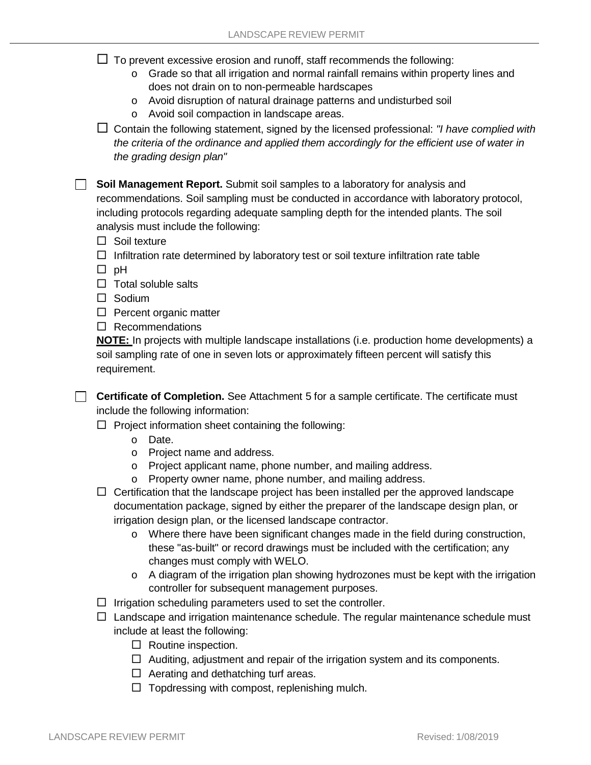$\Box$  To prevent excessive erosion and runoff, staff recommends the following:

- $\circ$  Grade so that all irrigation and normal rainfall remains within property lines and does not drain on to non-permeable hardscapes
- o Avoid disruption of natural drainage patterns and undisturbed soil
- o Avoid soil compaction in landscape areas.

 Contain the following statement, signed by the licensed professional: *"I have complied with the criteria of the ordinance and applied them accordingly for the efficient use of water in the grading design plan"*

**Soil Management Report.** Submit soil samples to a laboratory for analysis and recommendations. Soil sampling must be conducted in accordance with laboratory protocol, including protocols regarding adequate sampling depth for the intended plants. The soil analysis must include the following:

- $\Box$  Soil texture
- $\Box$  Infiltration rate determined by laboratory test or soil texture infiltration rate table
- $\Box$  pH
- $\Box$  Total soluble salts
- $\square$  Sodium
- $\Box$  Percent organic matter
- $\Box$  Recommendations

**NOTE:** In projects with multiple landscape installations (i.e. production home developments) a soil sampling rate of one in seven lots or approximately fifteen percent will satisfy this requirement.

□ **Certificate of Completion.** See Attachment 5 for a sample certificate. The certificate must include the following information:

- $\Box$  Project information sheet containing the following:
	- o Date.
	- o Project name and address.
	- o Project applicant name, phone number, and mailing address.
	- o Property owner name, phone number, and mailing address.

 $\Box$  Certification that the landscape project has been installed per the approved landscape documentation package, signed by either the preparer of the landscape design plan, or irrigation design plan, or the licensed landscape contractor.

- o Where there have been significant changes made in the field during construction, these "as-built" or record drawings must be included with the certification; any changes must comply with WELO.
- $\circ$  A diagram of the irrigation plan showing hydrozones must be kept with the irrigation controller for subsequent management purposes.
- $\Box$  Irrigation scheduling parameters used to set the controller.
- $\Box$  Landscape and irrigation maintenance schedule. The regular maintenance schedule must include at least the following:
	- $\Box$  Routine inspection.
	- $\Box$  Auditing, adjustment and repair of the irrigation system and its components.
	- $\Box$  Aerating and dethatching turf areas.
	- $\Box$  Topdressing with compost, replenishing mulch.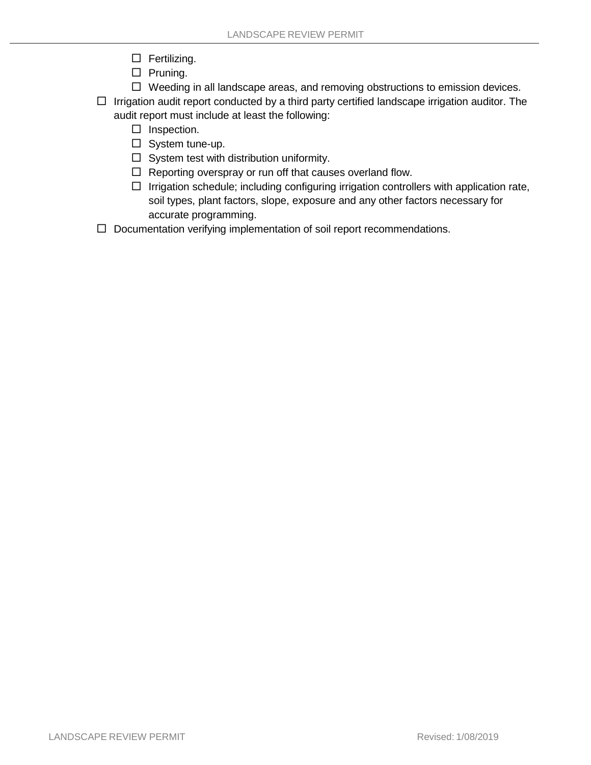- $\Box$  Fertilizing.
- $\Box$  Pruning.
- $\Box$  Weeding in all landscape areas, and removing obstructions to emission devices.

 $\Box$  Irrigation audit report conducted by a third party certified landscape irrigation auditor. The audit report must include at least the following:

- $\Box$  Inspection.
- $\Box$  System tune-up.
- $\Box$  System test with distribution uniformity.
- $\Box$  Reporting overspray or run off that causes overland flow.
- $\Box$  Irrigation schedule; including configuring irrigation controllers with application rate, soil types, plant factors, slope, exposure and any other factors necessary for accurate programming.
- $\Box$  Documentation verifying implementation of soil report recommendations.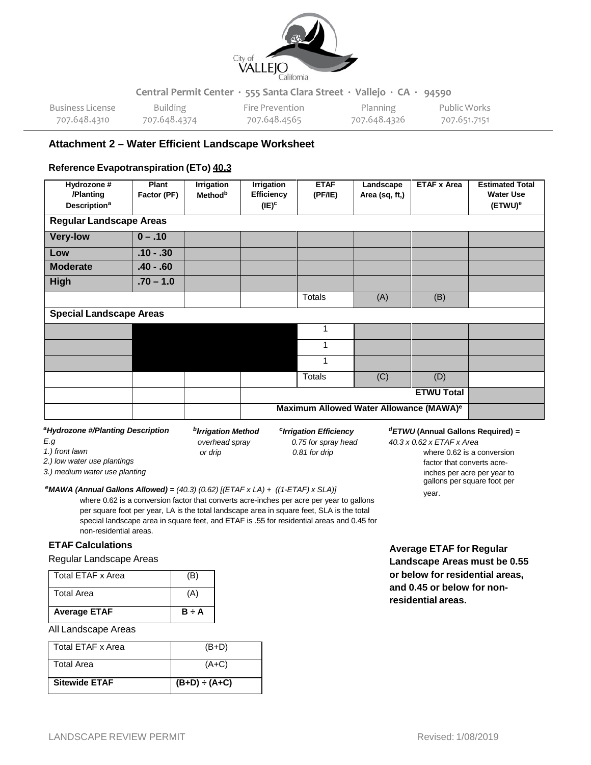

| Business License | <b>Building</b> | Fire Prevention | <b>Planning</b> | Public Works |
|------------------|-----------------|-----------------|-----------------|--------------|
| 707.648.4310     | 707.648.4374    | 707.648.4565    | 707.648.4326    | 707.651.7151 |

### **Attachment 2 – Water Efficient Landscape Worksheet**

#### **Reference Evapotranspiration (ETo) 40.3**

| Hydrozone #<br>/Planting<br><b>Description<sup>a</sup></b> | Plant<br>Factor (PF) | <b>Irrigation</b><br><b>Method</b> <sup>b</sup> | <b>Irrigation</b><br><b>Efficiency</b><br>$(IE)^c$ | <b>ETAF</b><br>(PF/IE) | Landscape<br>Area (sq, ft,)                         | <b>ETAF x Area</b> | <b>Estimated Total</b><br><b>Water Use</b><br>(ETWU) <sup>e</sup> |
|------------------------------------------------------------|----------------------|-------------------------------------------------|----------------------------------------------------|------------------------|-----------------------------------------------------|--------------------|-------------------------------------------------------------------|
| <b>Regular Landscape Areas</b>                             |                      |                                                 |                                                    |                        |                                                     |                    |                                                                   |
| <b>Very-low</b>                                            | $0 - .10$            |                                                 |                                                    |                        |                                                     |                    |                                                                   |
| Low                                                        | $.10 - .30$          |                                                 |                                                    |                        |                                                     |                    |                                                                   |
| <b>Moderate</b>                                            | $.40 - .60$          |                                                 |                                                    |                        |                                                     |                    |                                                                   |
| High                                                       | $.70 - 1.0$          |                                                 |                                                    |                        |                                                     |                    |                                                                   |
|                                                            |                      |                                                 |                                                    | <b>Totals</b>          | (A)                                                 | (B)                |                                                                   |
| <b>Special Landscape Areas</b>                             |                      |                                                 |                                                    |                        |                                                     |                    |                                                                   |
|                                                            |                      |                                                 |                                                    | 1                      |                                                     |                    |                                                                   |
|                                                            |                      |                                                 |                                                    |                        |                                                     |                    |                                                                   |
|                                                            |                      |                                                 |                                                    |                        |                                                     |                    |                                                                   |
|                                                            |                      |                                                 |                                                    | <b>Totals</b>          | (C)                                                 | (D)                |                                                                   |
|                                                            |                      |                                                 |                                                    |                        |                                                     | <b>ETWU Total</b>  |                                                                   |
|                                                            |                      |                                                 |                                                    |                        | Maximum Allowed Water Allowance (MAWA) <sup>e</sup> |                    |                                                                   |

*aHydrozone #/Planting Description*

*bIrrigation Method cIrrigation Efficiency overhead spray 0.75 for spray head or drip 0.81 for drip*

#### *dETWU* **(Annual Gallons Required)** *=*

year.

*40.3 x 0.62 x ETAF x Area* where 0.62 is a conversion factor that converts acreinches per acre per year to

*1.) front lawn 2.) low water use plantings*

*E.g*

*3.) medium water use planting*

#### gallons per square foot per *eMAWA (Annual Gallons Allowed) <sup>=</sup>(40.3) (0.62) [(ETAF <sup>x</sup> LA) <sup>+</sup> ((1-ETAF) <sup>x</sup> SLA)]*

where 0.62 is a conversion factor that converts acre-inches per acre per year to gallons per square foot per year, LA is the total landscape area in square feet, SLA is the total special landscape area in square feet, and ETAF is .55 for residential areas and 0.45 for non-residential areas.

#### **ETAF Calculations**

#### Regular Landscape Areas

| Total FTAF x Area   | (B)        |
|---------------------|------------|
| <b>Total Area</b>   | `A)        |
| <b>Average ETAF</b> | $B \div A$ |

#### All Landscape Areas

| Total ETAF x Area    | $(B+D)$            |
|----------------------|--------------------|
| <b>Total Area</b>    | $(A+C)$            |
| <b>Sitewide ETAF</b> | $(B+D) \div (A+C)$ |

**Average ETAF for Regular Landscape Areas must be 0.55 or below for residential areas, and 0.45 or below for nonresidential areas.**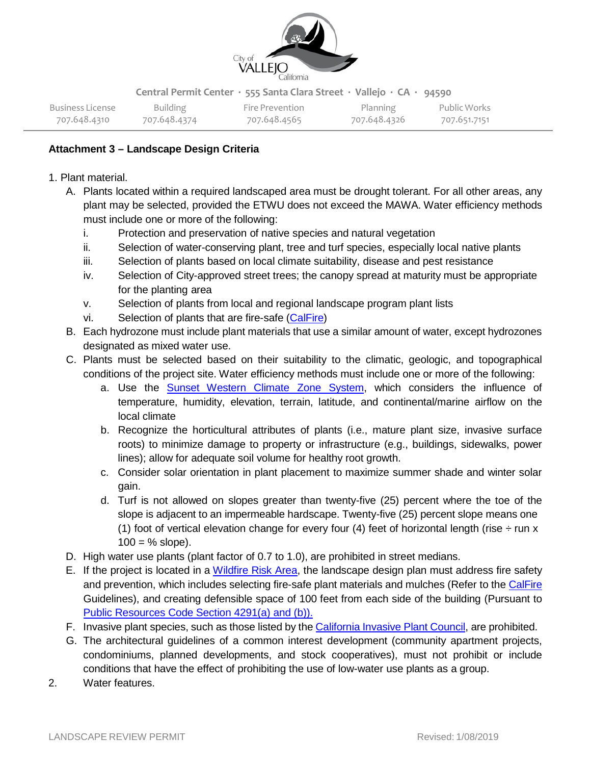

| Business License | Building     | Fire Prevention | Planning     | Public Works |
|------------------|--------------|-----------------|--------------|--------------|
| 707.648.4310     | 707.648.4374 | 707.648.4565    | 707.648.4326 | 707.651.7151 |

## **Attachment 3 – Landscape Design Criteria**

- 1. Plant material.
	- A. Plants located within a required landscaped area must be drought tolerant. For all other areas, any plant may be selected, provided the ETWU does not exceed the MAWA. Water efficiency methods must include one or more of the following:
		- i. Protection and preservation of native species and natural vegetation
		- ii. Selection of water-conserving plant, tree and turf species, especially local native plants
		- iii. Selection of plants based on local climate suitability, disease and pest resistance
		- iv. Selection of City-approved street trees; the canopy spread at maturity must be appropriate for the planting area
		- v. Selection of plants from local and regional landscape program plant lists
		- vi. Selection of plants that are fire-safe [\(CalFire\)](http://www.readyforwildfire.org/Fire-Safe-Landscaping/)
	- B. Each hydrozone must include plant materials that use a similar amount of water, except hydrozones designated as mixed water use.
	- C. Plants must be selected based on their suitability to the climatic, geologic, and topographical conditions of the project site. Water efficiency methods must include one or more of the following:
		- a. Use the Sunset [Western](http://cagardenweb.ucanr.edu/Your_Climate_Zone/) Climate Zone System, which considers the influence of temperature, humidity, elevation, terrain, latitude, and continental/marine airflow on the local climate
		- b. Recognize the horticultural attributes of plants (i.e., mature plant size, invasive surface roots) to minimize damage to property or infrastructure (e.g., buildings, sidewalks, power lines); allow for adequate soil volume for healthy root growth.
		- c. Consider solar orientation in plant placement to maximize summer shade and winter solar gain.
		- d. Turf is not allowed on slopes greater than twenty-five (25) percent where the toe of the slope is adjacent to an impermeable hardscape. Twenty-five (25) percent slope means one (1) foot of vertical elevation change for every four (4) feet of horizontal length (rise  $\div$  run x  $100 = %$  slope).
	- D. High water use plants (plant factor of 0.7 to 1.0), are prohibited in street medians.
	- E. If the project is located in a [Wildfire](http://www.fire.ca.gov/fire_prevention/fire_prevention_wildland_zones_maps) Risk Area, the landscape design plan must address fire safety and prevention, which includes selecting fire-safe plant materials and mulches (Refer to the [CalFire](http://www.readyforwildfire.org/Fire-Safe-Landscaping/) Guidelines), and creating defensible space of 100 feet from each side of the building (Pursuant to Public [Resources](https://leginfo.legislature.ca.gov/faces/codes_displayText.xhtml?lawCode=PRC&division=4.&title&part=2.&chapter=3.&article) Code Section 4291(a) and (b)).
	- F. Invasive plant species, such as those listed by the [California](https://www.cal-ipc.org/) Invasive Plant Council, are prohibited.
	- G. The architectural guidelines of a common interest development (community apartment projects, condominiums, planned developments, and stock cooperatives), must not prohibit or include conditions that have the effect of prohibiting the use of low-water use plants as a group.
- 2. Water features.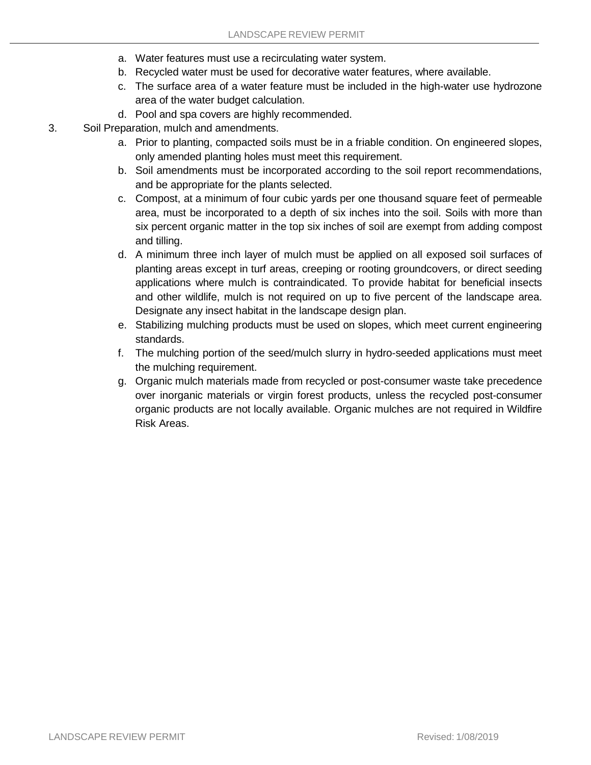- a. Water features must use a recirculating water system.
- b. Recycled water must be used for decorative water features, where available.
- c. The surface area of a water feature must be included in the high-water use hydrozone area of the water budget calculation.
- d. Pool and spa covers are highly recommended.
- 3. Soil Preparation, mulch and amendments.
	- a. Prior to planting, compacted soils must be in a friable condition. On engineered slopes, only amended planting holes must meet this requirement.
	- b. Soil amendments must be incorporated according to the soil report recommendations, and be appropriate for the plants selected.
	- c. Compost, at a minimum of four cubic yards per one thousand square feet of permeable area, must be incorporated to a depth of six inches into the soil. Soils with more than six percent organic matter in the top six inches of soil are exempt from adding compost and tilling.
	- d. A minimum three inch layer of mulch must be applied on all exposed soil surfaces of planting areas except in turf areas, creeping or rooting groundcovers, or direct seeding applications where mulch is contraindicated. To provide habitat for beneficial insects and other wildlife, mulch is not required on up to five percent of the landscape area. Designate any insect habitat in the landscape design plan.
	- e. Stabilizing mulching products must be used on slopes, which meet current engineering standards.
	- f. The mulching portion of the seed/mulch slurry in hydro-seeded applications must meet the mulching requirement.
	- g. Organic mulch materials made from recycled or post-consumer waste take precedence over inorganic materials or virgin forest products, unless the recycled post-consumer organic products are not locally available. Organic mulches are not required in Wildfire Risk Areas.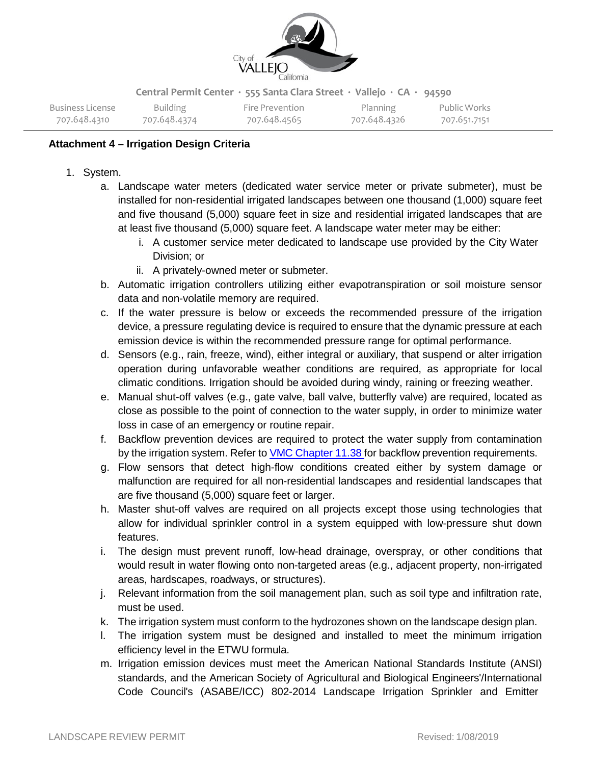

| Business License | Building     | Fire Prevention | Planning     | Public Works |
|------------------|--------------|-----------------|--------------|--------------|
| 707.648.4310     | 707.648.4374 | 707.648.4565    | 707.648.4326 | 707.651.7151 |

## **Attachment 4 – Irrigation Design Criteria**

- 1. System.
	- a. Landscape water meters (dedicated water service meter or private submeter), must be installed for non-residential irrigated landscapes between one thousand (1,000) square feet and five thousand (5,000) square feet in size and residential irrigated landscapes that are at least five thousand (5,000) square feet. A landscape water meter may be either:
		- i. A customer service meter dedicated to landscape use provided by the City Water Division; or
		- ii. A privately-owned meter or submeter.
	- b. Automatic irrigation controllers utilizing either evapotranspiration or soil moisture sensor data and non-volatile memory are required.
	- c. If the water pressure is below or exceeds the recommended pressure of the irrigation device, a pressure regulating device is required to ensure that the dynamic pressure at each emission device is within the recommended pressure range for optimal performance.
	- d. Sensors (e.g., rain, freeze, wind), either integral or auxiliary, that suspend or alter irrigation operation during unfavorable weather conditions are required, as appropriate for local climatic conditions. Irrigation should be avoided during windy, raining or freezing weather.
	- e. Manual shut-off valves (e.g., gate valve, ball valve, butterfly valve) are required, located as close as possible to the point of connection to the water supply, in order to minimize water loss in case of an emergency or routine repair.
	- f. Backflow prevention devices are required to protect the water supply from contamination by the irrigation system. Refer to VMC [Chapter](https://library.municode.com/ca/vallejo/codes/code_of_ordinances?nodeId=TIT11WA_IMUWASY_CH11.38COBACRNNMUWASY) 11.38 for backflow prevention requirements.
	- g. Flow sensors that detect high-flow conditions created either by system damage or malfunction are required for all non-residential landscapes and residential landscapes that are five thousand (5,000) square feet or larger.
	- h. Master shut-off valves are required on all projects except those using technologies that allow for individual sprinkler control in a system equipped with low-pressure shut down features.
	- i. The design must prevent runoff, low-head drainage, overspray, or other conditions that would result in water flowing onto non-targeted areas (e.g., adjacent property, non-irrigated areas, hardscapes, roadways, or structures).
	- j. Relevant information from the soil management plan, such as soil type and infiltration rate, must be used.
	- k. The irrigation system must conform to the hydrozones shown on the landscape design plan.
	- l. The irrigation system must be designed and installed to meet the minimum irrigation efficiency level in the ETWU formula.
	- m. Irrigation emission devices must meet the American National Standards Institute (ANSI) standards, and the American Society of Agricultural and Biological Engineers'/International Code Council's (ASABE/ICC) 802-2014 Landscape Irrigation Sprinkler and Emitter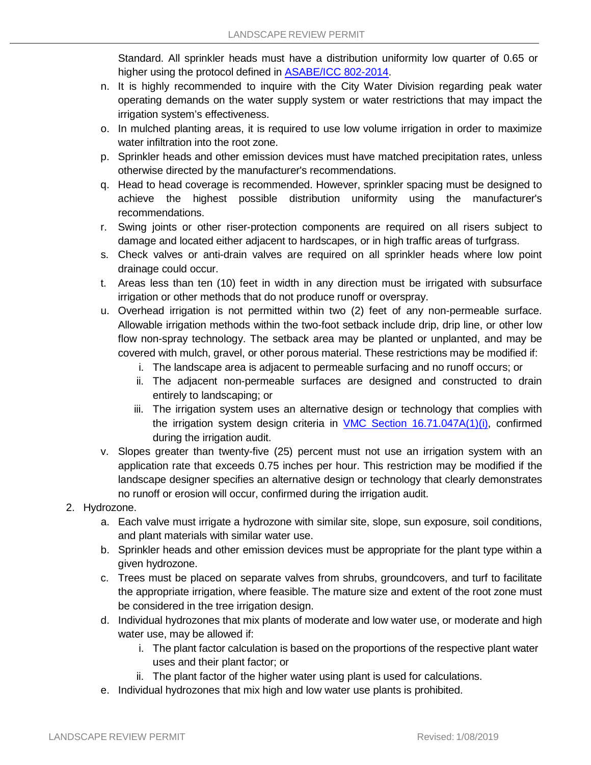Standard. All sprinkler heads must have a distribution uniformity low quarter of 0.65 or higher using the protocol defined in [ASABE/ICC](https://codes.iccsafe.org/content/ICC8022014/copyright?site_type=public) 802-2014.

- n. It is highly recommended to inquire with the City Water Division regarding peak water operating demands on the water supply system or water restrictions that may impact the irrigation system's effectiveness.
- o. In mulched planting areas, it is required to use low volume irrigation in order to maximize water infiltration into the root zone.
- p. Sprinkler heads and other emission devices must have matched precipitation rates, unless otherwise directed by the manufacturer's recommendations.
- q. Head to head coverage is recommended. However, sprinkler spacing must be designed to achieve the highest possible distribution uniformity using the manufacturer's recommendations.
- r. Swing joints or other riser-protection components are required on all risers subject to damage and located either adjacent to hardscapes, or in high traffic areas of turfgrass.
- s. Check valves or anti-drain valves are required on all sprinkler heads where low point drainage could occur.
- t. Areas less than ten (10) feet in width in any direction must be irrigated with subsurface irrigation or other methods that do not produce runoff or overspray.
- u. Overhead irrigation is not permitted within two (2) feet of any non-permeable surface. Allowable irrigation methods within the two-foot setback include drip, drip line, or other low flow non-spray technology. The setback area may be planted or unplanted, and may be covered with mulch, gravel, or other porous material. These restrictions may be modified if:
	- i. The landscape area is adjacent to permeable surfacing and no runoff occurs; or
	- ii. The adjacent non-permeable surfaces are designed and constructed to drain entirely to landscaping; or
	- iii. The irrigation system uses an alternative design or technology that complies with the irrigation system design criteria in VMC Section [16.71.047A\(1\)\(i\),](https://library.municode.com/ca/vallejo/codes/code_of_ordinances?nodeId=TIT16ZO_PTIVGERE_CH16.71WAEFLARE_16.71.047IRDEPL) confirmed during the irrigation audit.
- v. Slopes greater than twenty-five (25) percent must not use an irrigation system with an application rate that exceeds 0.75 inches per hour. This restriction may be modified if the landscape designer specifies an alternative design or technology that clearly demonstrates no runoff or erosion will occur, confirmed during the irrigation audit.
- 2. Hydrozone.
	- a. Each valve must irrigate a hydrozone with similar site, slope, sun exposure, soil conditions, and plant materials with similar water use.
	- b. Sprinkler heads and other emission devices must be appropriate for the plant type within a given hydrozone.
	- c. Trees must be placed on separate valves from shrubs, groundcovers, and turf to facilitate the appropriate irrigation, where feasible. The mature size and extent of the root zone must be considered in the tree irrigation design.
	- d. Individual hydrozones that mix plants of moderate and low water use, or moderate and high water use, may be allowed if:
		- i. The plant factor calculation is based on the proportions of the respective plant water uses and their plant factor; or
		- ii. The plant factor of the higher water using plant is used for calculations.
	- e. Individual hydrozones that mix high and low water use plants is prohibited.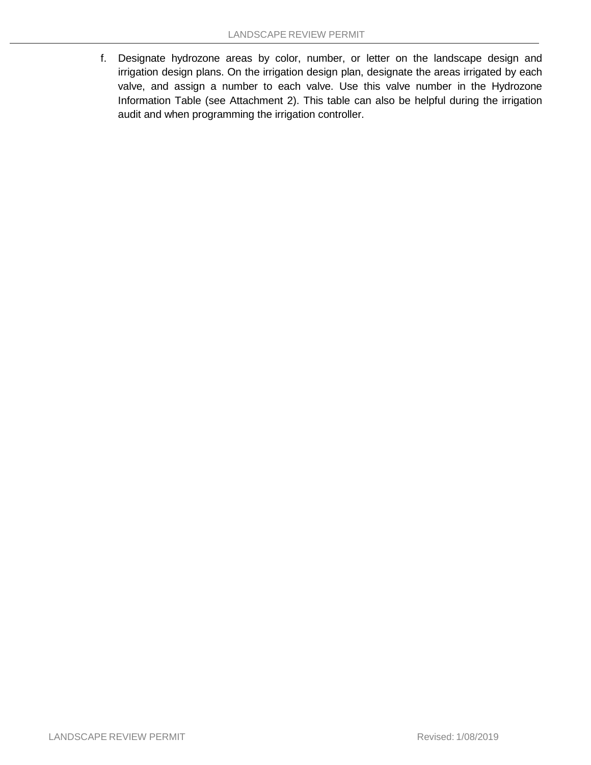f. Designate hydrozone areas by color, number, or letter on the landscape design and irrigation design plans. On the irrigation design plan, designate the areas irrigated by each valve, and assign a number to each valve. Use this valve number in the Hydrozone Information Table (see Attachment 2). This table can also be helpful during the irrigation audit and when programming the irrigation controller.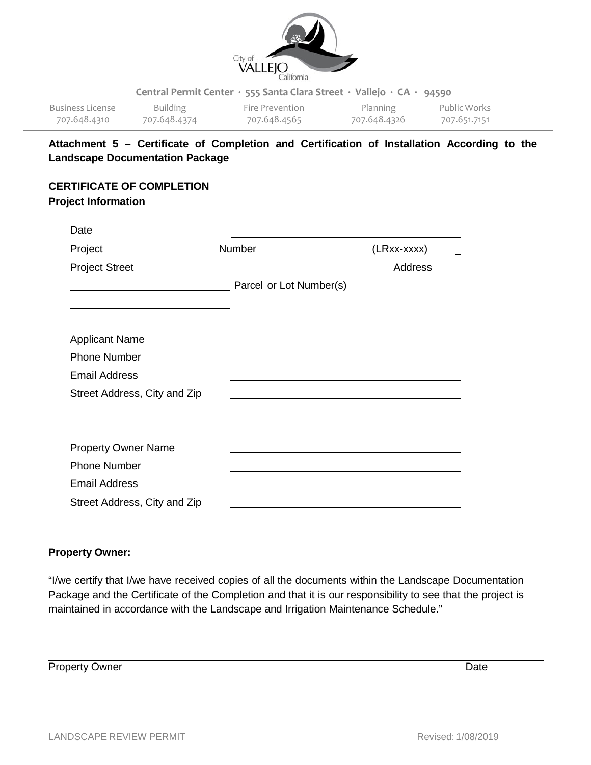

| Business License | Building     | Fire Prevention | Planning     | Public Works |
|------------------|--------------|-----------------|--------------|--------------|
| 707.648.4310     | 707.648.4374 | 707.648.4565    | 707.648.4326 | 707.651.7151 |

# **Attachment 5 – Certificate of Completion and Certification of Installation According to the Landscape Documentation Package**

# **CERTIFICATE OF COMPLETION**

# **Project Information**

| Date                         |                         |                |  |
|------------------------------|-------------------------|----------------|--|
| Project                      | Number                  | (LRxx-xxxx)    |  |
| <b>Project Street</b>        |                         | <b>Address</b> |  |
|                              | Parcel or Lot Number(s) |                |  |
|                              |                         |                |  |
| <b>Applicant Name</b>        |                         |                |  |
| <b>Phone Number</b>          |                         |                |  |
| <b>Email Address</b>         |                         |                |  |
| Street Address, City and Zip |                         |                |  |
|                              |                         |                |  |
|                              |                         |                |  |
| <b>Property Owner Name</b>   |                         |                |  |
| <b>Phone Number</b>          |                         |                |  |
| <b>Email Address</b>         |                         |                |  |
| Street Address, City and Zip |                         |                |  |
|                              |                         |                |  |

# **Property Owner:**

"I/we certify that I/we have received copies of all the documents within the Landscape Documentation Package and the Certificate of the Completion and that it is our responsibility to see that the project is maintained in accordance with the Landscape and Irrigation Maintenance Schedule."

**Property Owner** Date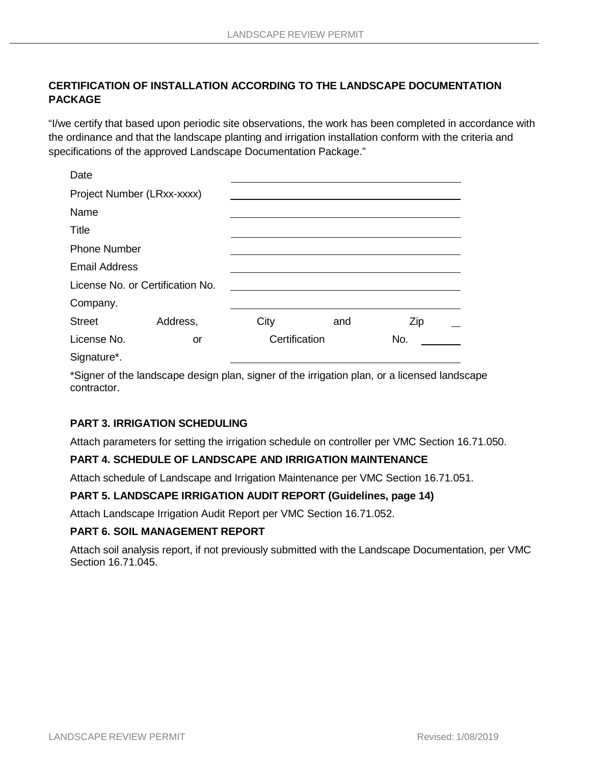# **CERTIFICATION OF INSTALLATION ACCORDING TO THE LANDSCAPE DOCUMENTATION PACKAGE**

"I/we certify that based upon periodic site observations, the work has been completed in accordance with the ordinance and that the landscape planting and irrigation installation conform with the criteria and specifications of the approved Landscape Documentation Package."

| Date                             |          |               |     |     |  |
|----------------------------------|----------|---------------|-----|-----|--|
| Project Number (LRxx-xxxx)       |          |               |     |     |  |
| Name                             |          |               |     |     |  |
| <b>Title</b>                     |          |               |     |     |  |
| <b>Phone Number</b>              |          |               |     |     |  |
| <b>Email Address</b>             |          |               |     |     |  |
| License No. or Certification No. |          |               |     |     |  |
| Company.                         |          |               |     |     |  |
| <b>Street</b>                    | Address, | City          | and | Zip |  |
| License No.                      | or       | Certification |     | No. |  |
| Signature*.                      |          |               |     |     |  |

\*Signer of the landscape design plan, signer of the irrigation plan, or a licensed landscape contractor.

## **PART 3. IRRIGATION SCHEDULING**

Attach parameters for setting the irrigation schedule on controller per VMC Section 16.71.050.

### **PART 4. SCHEDULE OF LANDSCAPE AND IRRIGATION MAINTENANCE**

Attach schedule of Landscape and Irrigation Maintenance per VMC Section 16.71.051.

### **PART 5. LANDSCAPE IRRIGATION AUDIT REPORT (Guidelines, page 14)**

Attach Landscape Irrigation Audit Report per VMC Section 16.71.052.

### **PART 6. SOIL MANAGEMENT REPORT**

Attach soil analysis report, if not previously submitted with the Landscape Documentation, per VMC Section 16.71.045.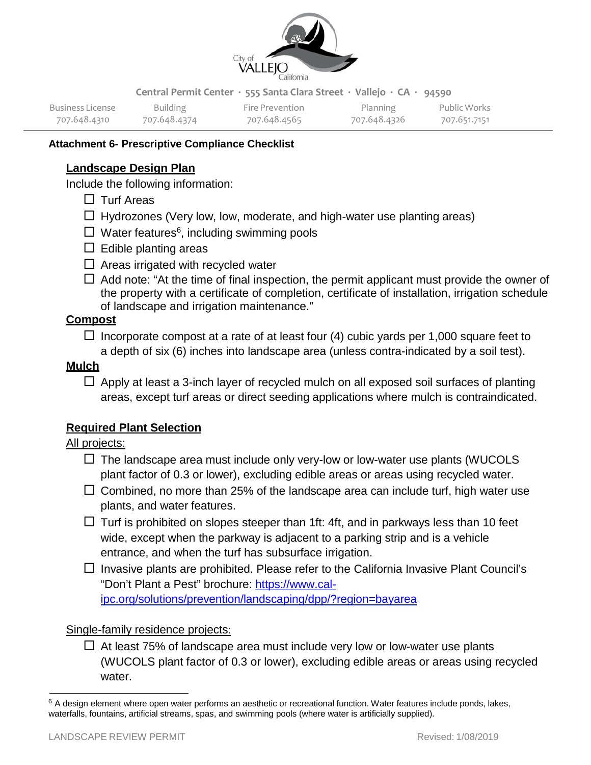

| Business License | Building     | Fire Prevention | <b>Planning</b> | Public Works |
|------------------|--------------|-----------------|-----------------|--------------|
| 707.648.4310     | 707.648.4374 | 707.648.4565    | 707.648.4326    | 707.651.7151 |

# **Attachment 6- Prescriptive Compliance Checklist**

# **Landscape Design Plan**

Include the following information:

- $\Box$  Turf Areas
- $\Box$  Hydrozones (Very low, low, moderate, and high-water use planting areas)
- $\Box$  Water features<sup>6</sup>, including swimming pools
- $\Box$  Edible planting areas
- $\Box$  Areas irrigated with recycled water
- $\Box$  Add note: "At the time of final inspection, the permit applicant must provide the owner of the property with a certificate of completion, certificate of installation, irrigation schedule of landscape and irrigation maintenance."

## **Compost**

 $\Box$  Incorporate compost at a rate of at least four (4) cubic yards per 1,000 square feet to a depth of six (6) inches into landscape area (unless contra-indicated by a soil test).

# **Mulch**

 $\Box$  Apply at least a 3-inch layer of recycled mulch on all exposed soil surfaces of planting areas, except turf areas or direct seeding applications where mulch is contraindicated.

# **Required Plant Selection**

## All projects:

- $\Box$  The landscape area must include only very-low or low-water use plants (WUCOLS plant factor of 0.3 or lower), excluding edible areas or areas using recycled water.
- $\Box$  Combined, no more than 25% of the landscape area can include turf, high water use plants, and water features.
- $\Box$  Turf is prohibited on slopes steeper than 1ft: 4ft, and in parkways less than 10 feet wide, except when the parkway is adjacent to a parking strip and is a vehicle entrance, and when the turf has subsurface irrigation.
- $\Box$  Invasive plants are prohibited. Please refer to the California Invasive Plant Council's "Don't Plant a Pest" brochure: [https://www.cal](https://www.cal-ipc.org/solutions/prevention/landscaping/dpp/?region=bayarea)[ipc.org/solutions/prevention/landscaping/dpp/?region=bayarea](https://www.cal-ipc.org/solutions/prevention/landscaping/dpp/?region=bayarea)

## Single-family residence projects:

 $\Box$  At least 75% of landscape area must include very low or low-water use plants (WUCOLS plant factor of 0.3 or lower), excluding edible areas or areas using recycled water.

<span id="page-16-0"></span> $6$  A design element where open water performs an aesthetic or recreational function. Water features include ponds, lakes, waterfalls, fountains, artificial streams, spas, and swimming pools (where water is artificially supplied).